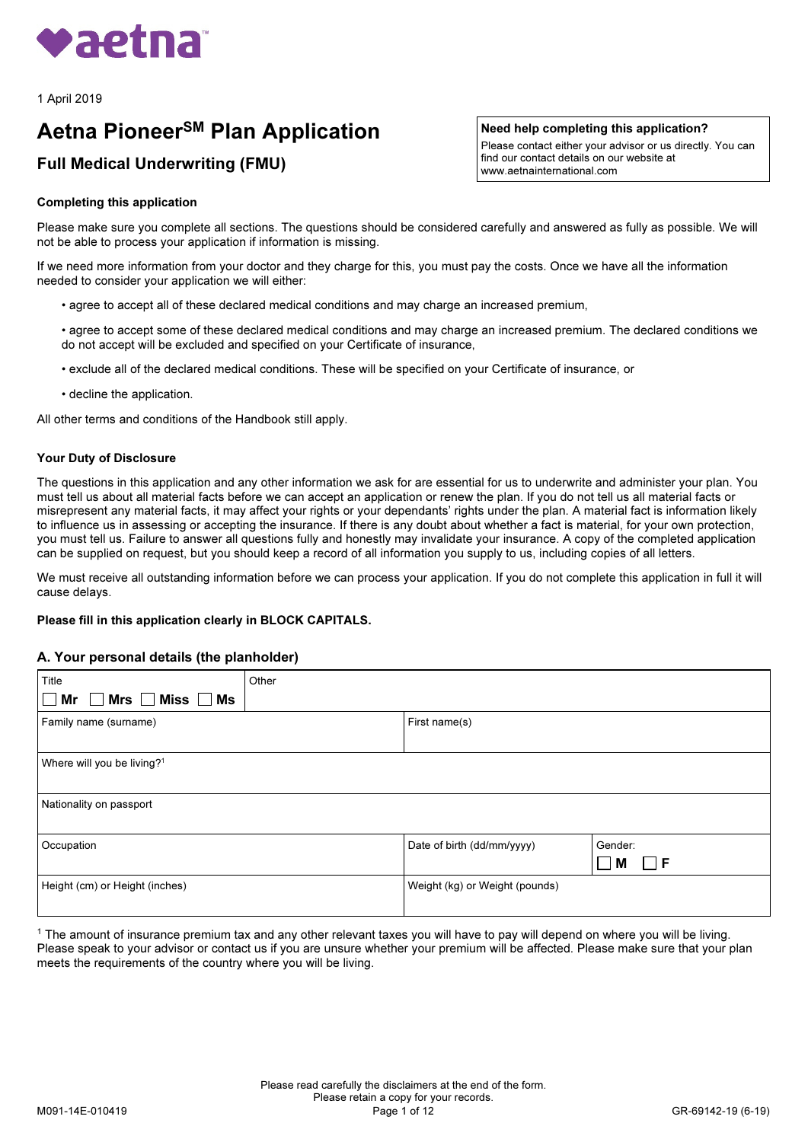

1 April 2019

# **Aetna Pioneer<sup>SM</sup> Plan Application**

## Full Medical Underwriting (FMU)

## Completing this application

Need help completing this application?

Please contact either your advisor or us directly. You can find our contact details on our website at www.aetnainternational.com

Please make sure you complete all sections. The questions should be considered carefully and answered as fully as possible. We will not be able to process your application if information is missing.

If we need more information from your doctor and they charge for this, you must pay the costs. Once we have all the information needed to consider your application we will either:

- agree to accept all of these declared medical conditions and may charge an increased premium,
- agree to accept some of these declared medical conditions and may charge an increased premium. The declared conditions we do not accept will be excluded and specified on your Certificate of insurance,
- exclude all of the declared medical conditions. These will be specified on your Certificate of insurance, or
- decline the application.

All other terms and conditions of the Handbook still apply.

#### Your Duty of Disclosure

The questions in this application and any other information we ask for are essential for us to underwrite and administer your plan. You must tell us about all material facts before we can accept an application or renew the plan. If you do not tell us all material facts or misrepresent any material facts, it may affect your rights or your dependants' rights under the plan. A material fact is information likely to influence us in assessing or accepting the insurance. If there is any doubt about whether a fact is material, for your own protection, you must tell us. Failure to answer all questions fully and honestly may invalidate your insurance. A copy of the completed application can be supplied on request, but you should keep a record of all information you supply to us, including copies of all letters.

We must receive all outstanding information before we can process your application. If you do not complete this application in full it will cause delays.

#### Please fill in this application clearly in BLOCK CAPITALS.

#### A. Your personal details (the planholder)

| Title                                                               | Other |                                |         |
|---------------------------------------------------------------------|-------|--------------------------------|---------|
| $\overline{\mathsf{M}r}$ $\Box$ Mrs $\Box$ Miss $\Box$ Ms<br>$\Box$ |       |                                |         |
| Family name (surname)                                               |       | First name(s)                  |         |
|                                                                     |       |                                |         |
| Where will you be living? <sup>1</sup>                              |       |                                |         |
|                                                                     |       |                                |         |
| Nationality on passport                                             |       |                                |         |
|                                                                     |       |                                |         |
| Occupation                                                          |       | Date of birth (dd/mm/yyyy)     | Gender: |
|                                                                     |       |                                | F<br>M  |
| Height (cm) or Height (inches)                                      |       | Weight (kg) or Weight (pounds) |         |
|                                                                     |       |                                |         |

<sup>1</sup> The amount of insurance premium tax and any other relevant taxes you will have to pay will depend on where you will be living. Please speak to your advisor or contact us if you are unsure whether your premium will be affected. Please make sure that your plan meets the requirements of the country where you will be living.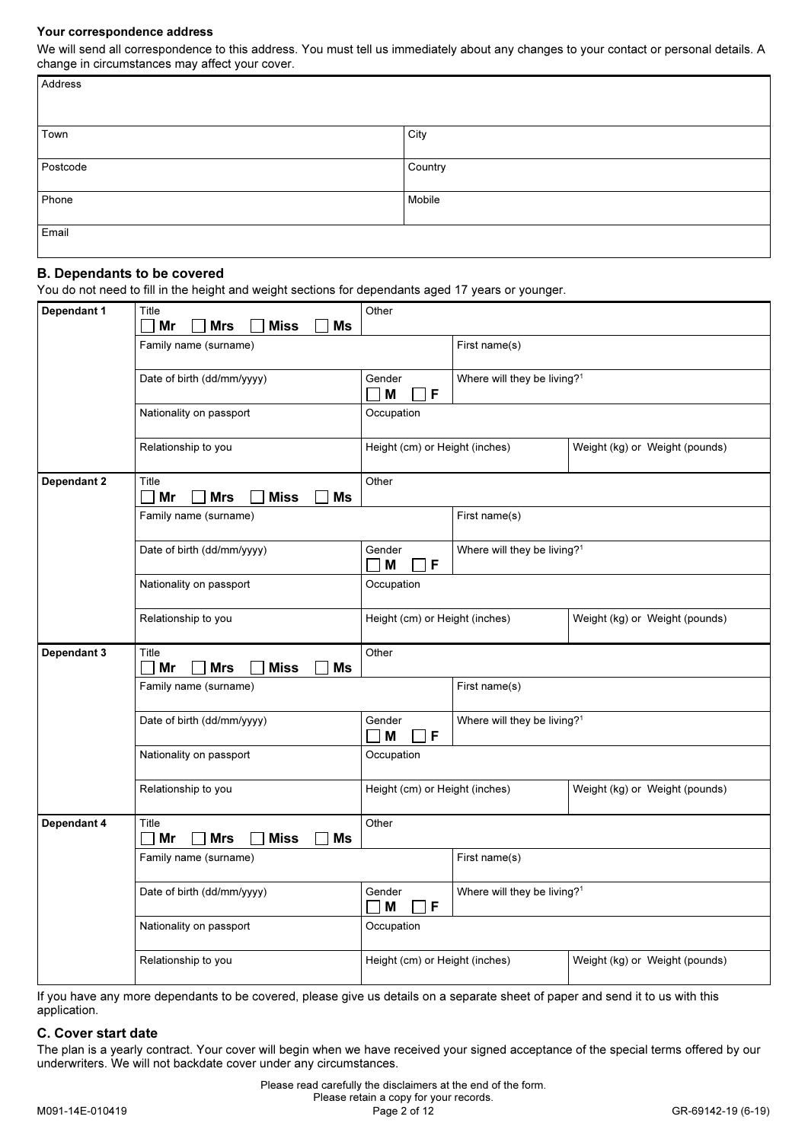## Your correspondence address

We will send all correspondence to this address. You must tell us immediately about any changes to your contact or personal details. A change in circumstances may affect your cover.

| Address  |         |
|----------|---------|
| Town     | City    |
| Postcode | Country |
| Phone    | Mobile  |
| Email    |         |

## B. Dependants to be covered

You do not need to fill in the height and weight sections for dependants aged 17 years or younger.

| Dependant 1 | Title<br>Mr<br><b>Miss</b><br><b>Ms</b><br><b>Mrs</b> | Other                          |                                         |                                |  |  |  |  |
|-------------|-------------------------------------------------------|--------------------------------|-----------------------------------------|--------------------------------|--|--|--|--|
|             | Family name (surname)                                 |                                | First name(s)                           |                                |  |  |  |  |
|             | Date of birth (dd/mm/yyyy)                            | Gender<br>F<br>M               | Where will they be living? <sup>1</sup> |                                |  |  |  |  |
|             | Nationality on passport                               | Occupation                     |                                         |                                |  |  |  |  |
|             | Relationship to you                                   | Height (cm) or Height (inches) |                                         | Weight (kg) or Weight (pounds) |  |  |  |  |
| Dependant 2 | Title<br>Mr<br><b>Mrs</b><br><b>Miss</b><br>Ms        | Other                          |                                         |                                |  |  |  |  |
|             | Family name (surname)                                 |                                | First name(s)                           |                                |  |  |  |  |
|             | Date of birth (dd/mm/yyyy)                            | Gender<br>F<br>M               | Where will they be living? <sup>1</sup> |                                |  |  |  |  |
|             | Nationality on passport                               | Occupation                     |                                         |                                |  |  |  |  |
|             | Relationship to you                                   | Height (cm) or Height (inches) |                                         | Weight (kg) or Weight (pounds) |  |  |  |  |
| Dependant 3 | Title<br>Mr<br><b>Mrs</b><br><b>Miss</b><br>Ms        | Other                          |                                         |                                |  |  |  |  |
|             | Family name (surname)                                 |                                | First name(s)                           |                                |  |  |  |  |
|             | Date of birth (dd/mm/yyyy)                            | Gender<br>M<br>F               | Where will they be living? <sup>1</sup> |                                |  |  |  |  |
|             | Nationality on passport                               | Occupation                     |                                         |                                |  |  |  |  |
|             | Relationship to you                                   | Height (cm) or Height (inches) |                                         | Weight (kg) or Weight (pounds) |  |  |  |  |
| Dependant 4 | Title<br>Mr<br><b>Miss</b><br><b>Mrs</b><br><b>Ms</b> | Other                          |                                         |                                |  |  |  |  |
|             |                                                       |                                | First name(s)                           |                                |  |  |  |  |
|             | Family name (surname)                                 |                                |                                         |                                |  |  |  |  |
|             | Date of birth (dd/mm/yyyy)                            | Gender<br>M<br>F               | Where will they be living? <sup>1</sup> |                                |  |  |  |  |
|             | Nationality on passport                               | Occupation                     |                                         |                                |  |  |  |  |

If you have any more dependants to be covered, please give us details on a separate sheet of paper and send it to us with this application.

#### C. Cover start date

The plan is a yearly contract. Your cover will begin when we have received your signed acceptance of the special terms offered by our underwriters. We will not backdate cover under any circumstances.

 Please read carefully the disclaimers at the end of the form. Please retain a copy for your records. M091-14E-010419 Page 2 of 12 GR-69142-19 (6-19)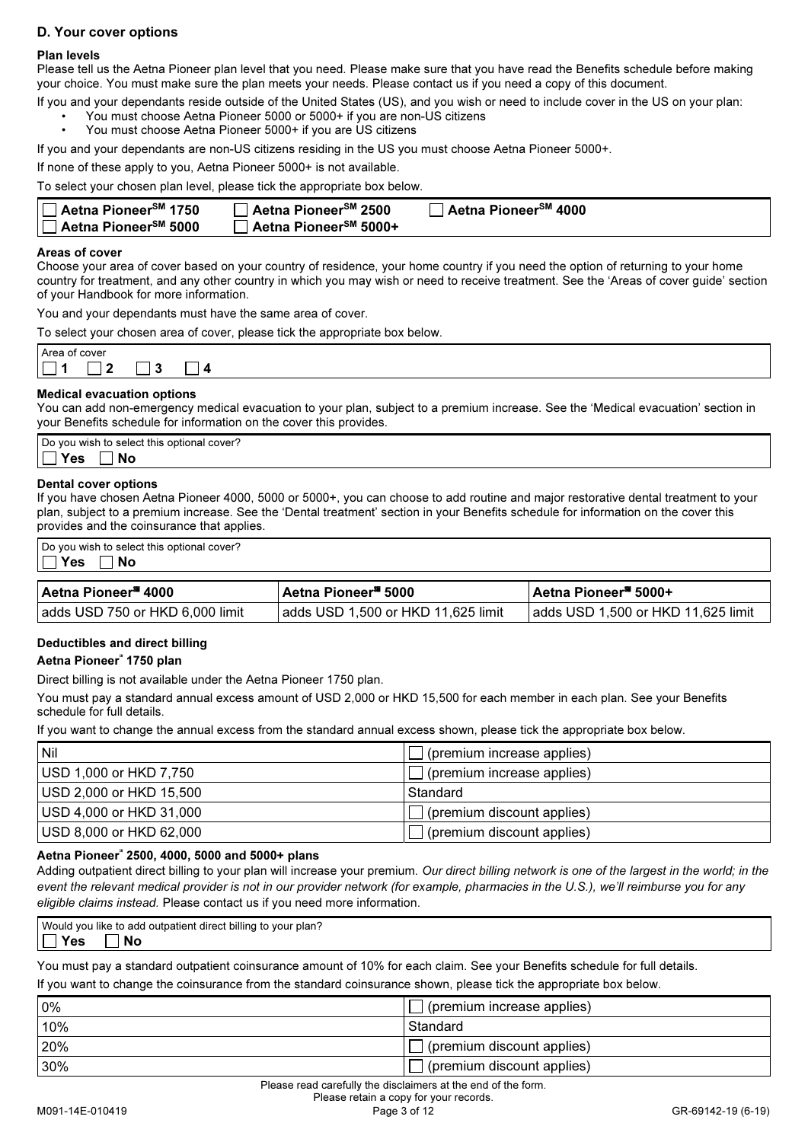## D. Your cover options

## Plan levels

Please tell us the Aetna Pioneer plan level that you need. Please make sure that you have read the Benefits schedule before making your choice. You must make sure the plan meets your needs. Please contact us if you need a copy of this document.

If you and your dependants reside outside of the United States (US), and you wish or need to include cover in the US on your plan: • You must choose Aetna Pioneer 5000 or 5000+ if you are non-US citizens

• You must choose Aetna Pioneer 5000+ if you are US citizens

If you and your dependants are non-US citizens residing in the US you must choose Aetna Pioneer 5000+.

If none of these apply to you, Aetna Pioneer 5000+ is not available.

To select your chosen plan level, please tick the appropriate box below.

| <b>∃ Aetna Pioneer<sup>sм</sup> 2500</b> | <b>∃ Aetna Pioneer<sup>sм</sup> 4000</b> |  |
|------------------------------------------|------------------------------------------|--|
| ]Aetna Pioneer <sup>sM</sup> 5000+       |                                          |  |

#### Areas of cover

Choose your area of cover based on your country of residence, your home country if you need the option of returning to your home country for treatment, and any other country in which you may wish or need to receive treatment. See the 'Areas of cover guide' section of your Handbook for more information.

You and your dependants must have the same area of cover.

To select your chosen area of cover, please tick the appropriate box below.

| $\Lambda$ ro | cover |   |  |  |  |  |  |
|--------------|-------|---|--|--|--|--|--|
|              | _     | £ |  |  |  |  |  |
|              |       |   |  |  |  |  |  |

#### Medical evacuation options

You can add non-emergency medical evacuation to your plan, subject to a premium increase. See the 'Medical evacuation' section in your Benefits schedule for information on the cover this provides.

| Do you wish to select this optional cover? |  |
|--------------------------------------------|--|
| NC<br>62                                   |  |
|                                            |  |

#### Dental cover options

If you have chosen Aetna Pioneer 4000, 5000 or 5000+, you can choose to add routine and major restorative dental treatment to your plan, subject to a premium increase. See the 'Dental treatment' section in your Benefits schedule for information on the cover this provides and the coinsurance that applies.

| Do you wish to select this optional cover?<br>'Yes<br><b>∣No</b> |                                    |                                           |
|------------------------------------------------------------------|------------------------------------|-------------------------------------------|
| TAetna Pioneer <sup>s∎</sup> 4000                                | l Aetna Pioneer <sup>s∎</sup> 5000 | <b>I Aetna Pioneer<sup>sa</sup> 5000+</b> |
| adds USD 750 or HKD 6,000 limit                                  | adds USD 1,500 or HKD 11,625 limit | adds USD 1,500 or HKD 11,625 limit        |

## Deductibles and direct billing

Deuuenbies und uncet bii<br>Aetna Pioneer<sup>®</sup> 1750 plan

Direct billing is not available under the Aetna Pioneer 1750 plan.

You must pay a standard annual excess amount of USD 2,000 or HKD 15,500 for each member in each plan. See your Benefits schedule for full details.

If you want to change the annual excess from the standard annual excess shown, please tick the appropriate box below.

| <b>Nil</b>              | $\Box$ (premium increase applies) |
|-------------------------|-----------------------------------|
| USD 1,000 or HKD 7,750  | $\Box$ (premium increase applies) |
| USD 2,000 or HKD 15,500 | Standard                          |
| USD 4,000 or HKD 31,000 | $\Box$ (premium discount applies) |
| USD 8,000 or HKD 62,000 | (premium discount applies)        |

## Aetna Pioneer℠ 2500, 4000, 5000 and 5000+ plans

Adding outpatient direct billing to your plan will increase your premium. Our direct billing network is one of the largest in the world; in the event the relevant medical provider is not in our provider network (for example, pharmacies in the U.S.), we'll reimburse you for any eligible claims instead. Please contact us if you need more information.

Would you like to add outpatient direct billing to your plan?  $\exists$  Yes  $\Box$  No

You must pay a standard outpatient coinsurance amount of 10% for each claim. See your Benefits schedule for full details.

If you want to change the coinsurance from the standard coinsurance shown, please tick the appropriate box below.

| 0%   | (premium increase applies) |
|------|----------------------------|
| 10%  | Standard                   |
| 20%  | (premium discount applies) |
| 30%  | (premium discount applies) |
| $ -$ |                            |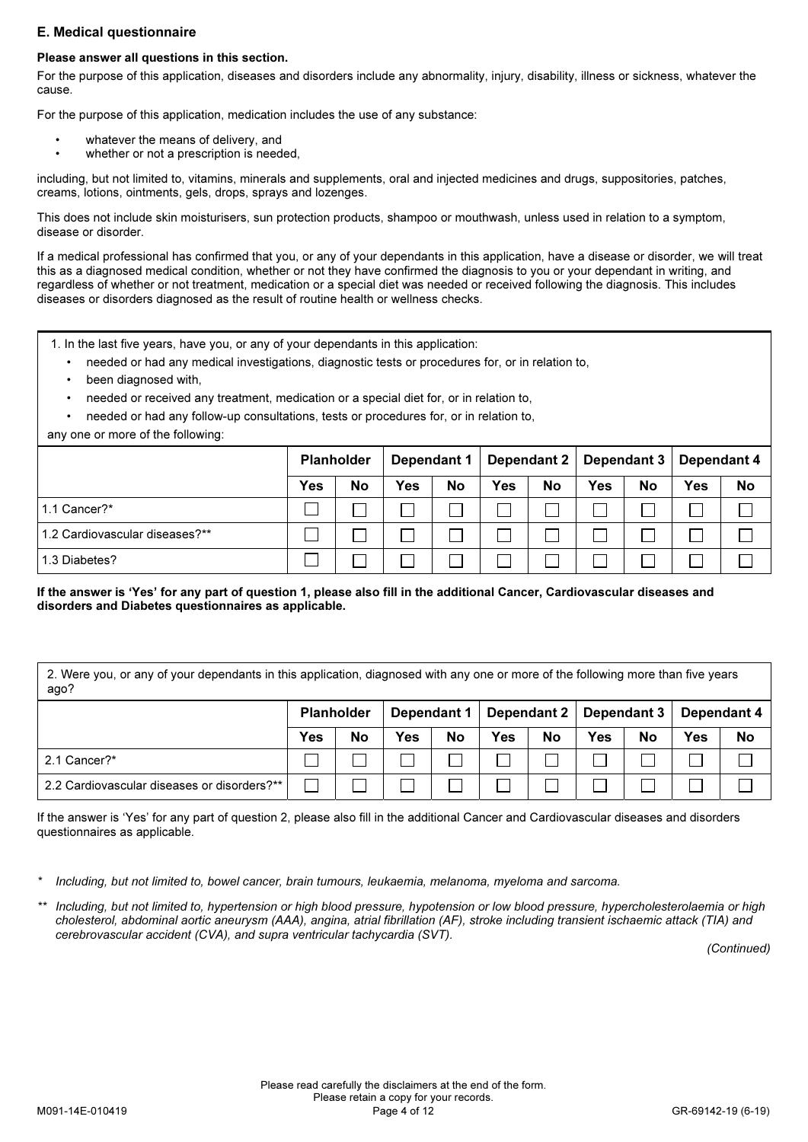## E. Medical questionnaire

## Please answer all questions in this section.

For the purpose of this application, diseases and disorders include any abnormality, injury, disability, illness or sickness, whatever the cause.

For the purpose of this application, medication includes the use of any substance:

- whatever the means of delivery, and
- whether or not a prescription is needed,

including, but not limited to, vitamins, minerals and supplements, oral and injected medicines and drugs, suppositories, patches, creams, lotions, ointments, gels, drops, sprays and lozenges.

This does not include skin moisturisers, sun protection products, shampoo or mouthwash, unless used in relation to a symptom, disease or disorder.

If a medical professional has confirmed that you, or any of your dependants in this application, have a disease or disorder, we will treat this as a diagnosed medical condition, whether or not they have confirmed the diagnosis to you or your dependant in writing, and regardless of whether or not treatment, medication or a special diet was needed or received following the diagnosis. This includes diseases or disorders diagnosed as the result of routine health or wellness checks.

- 1. In the last five years, have you, or any of your dependants in this application:
	- needed or had any medical investigations, diagnostic tests or procedures for, or in relation to,
	- been diagnosed with,
	- needed or received any treatment, medication or a special diet for, or in relation to,
	- needed or had any follow-up consultations, tests or procedures for, or in relation to,

any one or more of the following:

|                                | <b>Planholder</b> |           | Dependant 1 |           |     |    | Dependant 2   Dependant 3   Dependant 4 |    |            |    |
|--------------------------------|-------------------|-----------|-------------|-----------|-----|----|-----------------------------------------|----|------------|----|
|                                | <b>Yes</b>        | <b>No</b> | <b>Yes</b>  | <b>No</b> | Yes | No | Yes                                     | No | <b>Yes</b> | No |
| 1.1 Cancer?*                   |                   |           |             |           |     |    |                                         |    |            |    |
| 1.2 Cardiovascular diseases?** |                   |           |             |           |     |    |                                         |    |            |    |
| 1.3 Diabetes?                  |                   |           |             |           |     |    |                                         |    |            |    |

If the answer is 'Yes' for any part of question 1, please also fill in the additional Cancer, Cardiovascular diseases and disorders and Diabetes questionnaires as applicable.

2. Were you, or any of your dependants in this application, diagnosed with any one or more of the following more than five years ago?

|                                             | <b>Planholder</b> |           | Dependant 1 |    |     |    |            |    | Dependant 2   Dependant 3   Dependant 4 |           |
|---------------------------------------------|-------------------|-----------|-------------|----|-----|----|------------|----|-----------------------------------------|-----------|
|                                             | <b>Yes</b>        | <b>No</b> | Yes         | No | Yes | No | <b>Yes</b> | No | <b>Yes</b>                              | <b>No</b> |
| 2.1 Cancer?*                                |                   |           |             |    |     |    |            |    |                                         |           |
| 2.2 Cardiovascular diseases or disorders?** |                   |           |             |    |     |    |            |    |                                         |           |

If the answer is 'Yes' for any part of question 2, please also fill in the additional Cancer and Cardiovascular diseases and disorders questionnaires as applicable.

Including, but not limited to, bowel cancer, brain tumours, leukaemia, melanoma, myeloma and sarcoma.

Including, but not limited to, hypertension or high blood pressure, hypotension or low blood pressure, hypercholesterolaemia or high cholesterol, abdominal aortic aneurysm (AAA), angina, atrial fibrillation (AF), stroke including transient ischaemic attack (TIA) and cerebrovascular accident (CVA), and supra ventricular tachycardia (SVT).

(Continued)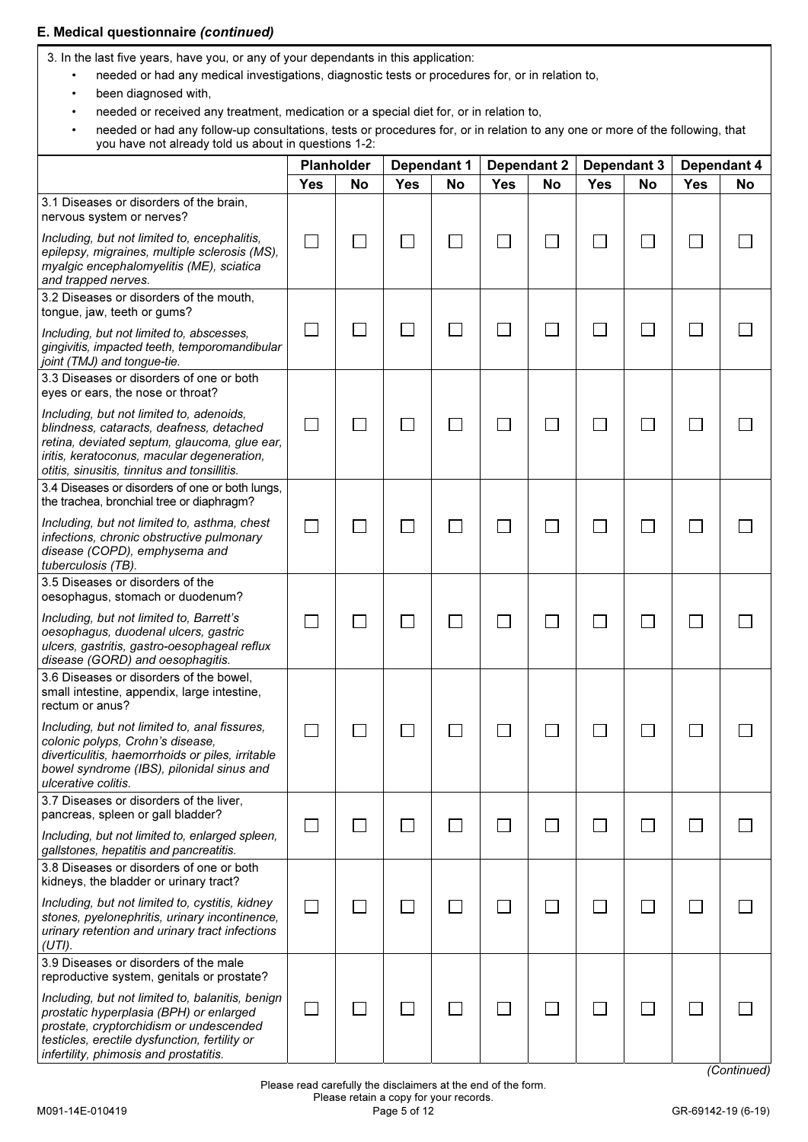## E. Medical questionnaire (continued)

3. In the last five years, have you, or any of your dependants in this application:

- needed or had any medical investigations, diagnostic tests or procedures for, or in relation to,
- been diagnosed with,
- needed or received any treatment, medication or a special diet for, or in relation to,
- needed or had any follow-up consultations, tests or procedures for, or in relation to any one or more of the following, that you have not already told us about in questions 1-2:

|                                                                                                                                                                                                                                    | <b>Planholder</b><br><b>Dependant 1</b> |    | <b>Dependant 2</b> |    | Dependant 3 |           | Dependant 4 |              |            |             |
|------------------------------------------------------------------------------------------------------------------------------------------------------------------------------------------------------------------------------------|-----------------------------------------|----|--------------------|----|-------------|-----------|-------------|--------------|------------|-------------|
|                                                                                                                                                                                                                                    | <b>Yes</b>                              | No | <b>Yes</b>         | No | <b>Yes</b>  | <b>No</b> | <b>Yes</b>  | <b>No</b>    | <b>Yes</b> | No          |
| 3.1 Diseases or disorders of the brain,<br>nervous system or nerves?                                                                                                                                                               |                                         |    |                    |    |             |           |             |              |            |             |
| Including, but not limited to, encephalitis,<br>epilepsy, migraines, multiple sclerosis (MS),<br>myalgic encephalomyelitis (ME), sciatica<br>and trapped nerves.                                                                   | $\overline{\phantom{0}}$                |    |                    |    |             |           |             |              |            |             |
| 3.2 Diseases or disorders of the mouth,<br>tongue, jaw, teeth or gums?                                                                                                                                                             |                                         |    |                    |    |             |           |             |              |            |             |
| Including, but not limited to, abscesses,<br>gingivitis, impacted teeth, temporomandibular<br>joint (TMJ) and tongue-tie.                                                                                                          |                                         |    |                    |    |             |           |             |              |            |             |
| 3.3 Diseases or disorders of one or both<br>eyes or ears, the nose or throat?                                                                                                                                                      |                                         |    |                    |    |             |           |             |              |            |             |
| Including, but not limited to, adenoids,<br>blindness, cataracts, deafness, detached<br>retina, deviated septum, glaucoma, glue ear,<br>iritis, keratoconus, macular degeneration,<br>otitis, sinusitis, tinnitus and tonsillitis. |                                         |    |                    |    |             |           |             | L            |            |             |
| 3.4 Diseases or disorders of one or both lungs,<br>the trachea, bronchial tree or diaphragm?                                                                                                                                       |                                         |    |                    |    |             |           |             |              |            |             |
| Including, but not limited to, asthma, chest<br>infections, chronic obstructive pulmonary<br>disease (COPD), emphysema and<br>tuberculosis (TB).                                                                                   |                                         |    |                    |    |             |           |             |              |            |             |
| 3.5 Diseases or disorders of the<br>oesophagus, stomach or duodenum?                                                                                                                                                               |                                         |    |                    |    |             |           |             |              |            |             |
| Including, but not limited to, Barrett's<br>oesophagus, duodenal ulcers, gastric<br>ulcers, gastritis, gastro-oesophageal reflux<br>disease (GORD) and oesophagitis.                                                               |                                         |    |                    |    |             |           |             |              |            |             |
| 3.6 Diseases or disorders of the bowel,<br>small intestine, appendix, large intestine,<br>rectum or anus?                                                                                                                          |                                         |    |                    |    |             |           |             |              |            |             |
| Including, but not limited to, anal fissures,<br>colonic polyps, Crohn's disease,<br>diverticulitis, haemorrhoids or piles, irritable<br>bowel syndrome (IBS), pilonidal sinus and<br>ulcerative colitis.                          | I.                                      |    |                    |    |             |           |             |              |            |             |
| 3.7 Diseases or disorders of the liver,<br>pancreas, spleen or gall bladder?                                                                                                                                                       | $\mathcal{L}_{\mathcal{A}}$             |    |                    |    |             |           |             | ∟            |            |             |
| Including, but not limited to, enlarged spleen,<br>gallstones, hepatitis and pancreatitis.                                                                                                                                         |                                         |    |                    |    |             |           |             |              |            |             |
| 3.8 Diseases or disorders of one or both<br>kidneys, the bladder or urinary tract?                                                                                                                                                 |                                         |    |                    |    |             |           |             |              |            |             |
| Including, but not limited to, cystitis, kidney<br>stones, pyelonephritis, urinary incontinence,<br>urinary retention and urinary tract infections<br>$(UTI)$ .                                                                    | $\Box$                                  |    |                    |    |             |           |             |              |            |             |
| 3.9 Diseases or disorders of the male<br>reproductive system, genitals or prostate?                                                                                                                                                |                                         |    |                    |    |             |           |             |              |            |             |
| Including, but not limited to, balanitis, benign<br>prostatic hyperplasia (BPH) or enlarged<br>prostate, cryptorchidism or undescended<br>testicles, erectile dysfunction, fertility or<br>infertility, phimosis and prostatitis.  | $\Box$                                  |    |                    |    |             | a i       |             | $\mathbf{L}$ |            |             |
|                                                                                                                                                                                                                                    |                                         |    |                    |    |             |           |             |              |            | (Continued) |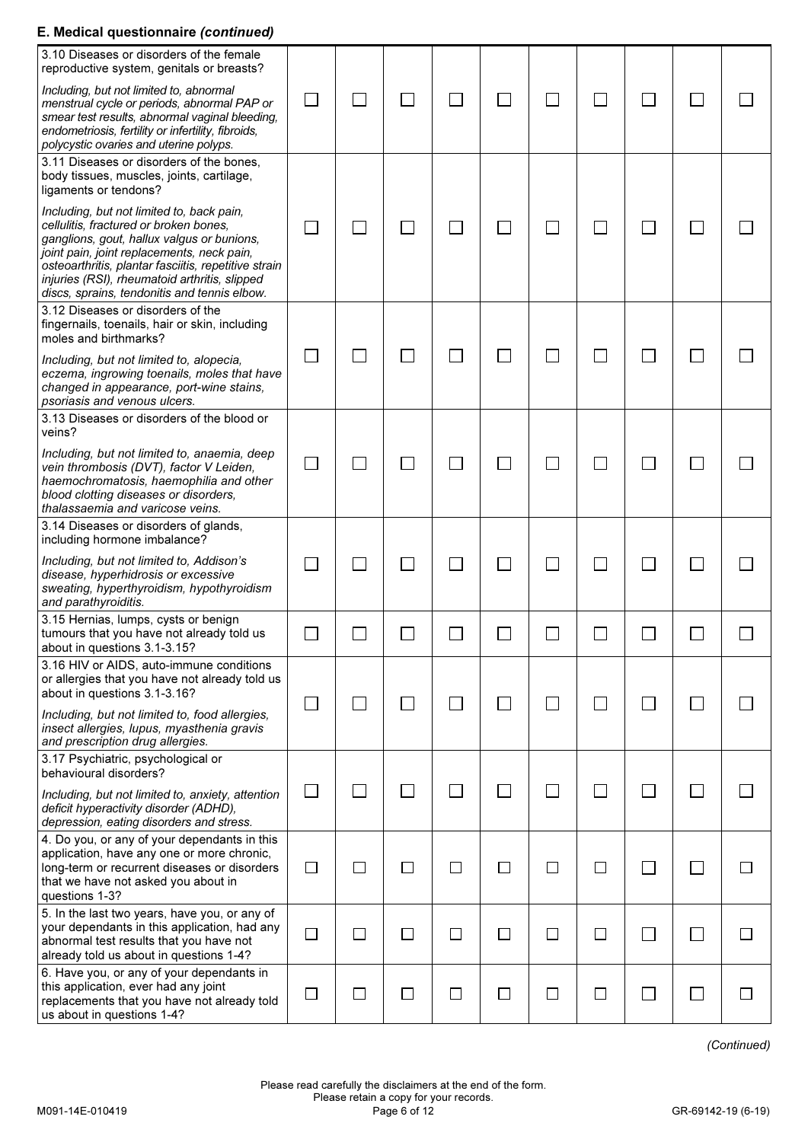## E. Medical questionnaire (continued)

| 3.10 Diseases or disorders of the female<br>reproductive system, genitals or breasts?                                                                                                                                                                                                                                                    |                             |              |                |                          |        |        |        |  |  |
|------------------------------------------------------------------------------------------------------------------------------------------------------------------------------------------------------------------------------------------------------------------------------------------------------------------------------------------|-----------------------------|--------------|----------------|--------------------------|--------|--------|--------|--|--|
| Including, but not limited to, abnormal<br>menstrual cycle or periods, abnormal PAP or<br>smear test results, abnormal vaginal bleeding,<br>endometriosis, fertility or infertility, fibroids,<br>polycystic ovaries and uterine polyps.                                                                                                 | $\mathcal{L}_{\mathcal{A}}$ | $\mathbf{L}$ | $\mathbb{R}^n$ |                          |        |        |        |  |  |
| 3.11 Diseases or disorders of the bones.<br>body tissues, muscles, joints, cartilage,<br>ligaments or tendons?                                                                                                                                                                                                                           |                             |              |                |                          |        |        |        |  |  |
| Including, but not limited to, back pain,<br>cellulitis, fractured or broken bones,<br>ganglions, gout, hallux valgus or bunions,<br>joint pain, joint replacements, neck pain,<br>osteoarthritis, plantar fasciitis, repetitive strain<br>injuries (RSI), rheumatoid arthritis, slipped<br>discs, sprains, tendonitis and tennis elbow. | $\Box$                      |              |                |                          |        |        |        |  |  |
| 3.12 Diseases or disorders of the<br>fingernails, toenails, hair or skin, including<br>moles and birthmarks?                                                                                                                                                                                                                             |                             |              |                |                          |        |        |        |  |  |
| Including, but not limited to, alopecia,<br>eczema, ingrowing toenails, moles that have<br>changed in appearance, port-wine stains,<br>psoriasis and venous ulcers.                                                                                                                                                                      | $\Box$                      |              | $\mathbb{R}^n$ |                          |        |        |        |  |  |
| 3.13 Diseases or disorders of the blood or<br>veins?                                                                                                                                                                                                                                                                                     |                             |              |                |                          |        |        |        |  |  |
| Including, but not limited to, anaemia, deep<br>vein thrombosis (DVT), factor V Leiden,<br>haemochromatosis, haemophilia and other<br>blood clotting diseases or disorders,<br>thalassaemia and varicose veins.                                                                                                                          | $\Box$                      |              |                |                          |        |        |        |  |  |
| 3.14 Diseases or disorders of glands,<br>including hormone imbalance?                                                                                                                                                                                                                                                                    |                             |              |                |                          |        |        |        |  |  |
| Including, but not limited to, Addison's<br>disease, hyperhidrosis or excessive<br>sweating, hyperthyroidism, hypothyroidism<br>and parathyroiditis.                                                                                                                                                                                     | $\mathbf{I}$                |              |                |                          |        |        |        |  |  |
| 3.15 Hernias, lumps, cysts or benign<br>tumours that you have not already told us<br>about in questions 3.1-3.15?                                                                                                                                                                                                                        |                             |              |                |                          |        |        |        |  |  |
| 3.16 HIV or AIDS, auto-immune conditions<br>or allergies that you have not already told us<br>about in questions 3.1-3.16?<br>Including, but not limited to, food allergies,<br>insect allergies, lupus, myasthenia gravis                                                                                                               | $\Box$                      |              | $\Box$         | $\overline{\phantom{a}}$ |        |        |        |  |  |
| and prescription drug allergies.<br>3.17 Psychiatric, psychological or                                                                                                                                                                                                                                                                   |                             |              |                |                          |        |        |        |  |  |
| behavioural disorders?<br>Including, but not limited to, anxiety, attention<br>deficit hyperactivity disorder (ADHD),<br>depression, eating disorders and stress.                                                                                                                                                                        | $\Box$                      | $\mathbf{L}$ | $\mathbb{R}^n$ |                          |        | $\sim$ |        |  |  |
| 4. Do you, or any of your dependants in this<br>application, have any one or more chronic,<br>long-term or recurrent diseases or disorders<br>that we have not asked you about in<br>questions 1-3?                                                                                                                                      | $\Box$                      | $\Box$       | $\Box$         | $\mathsf{L}$             | $\Box$ | $\Box$ | $\Box$ |  |  |
| 5. In the last two years, have you, or any of<br>your dependants in this application, had any<br>abnormal test results that you have not<br>already told us about in questions 1-4?                                                                                                                                                      | $\Box$                      | $\Box$       | $\Box$         |                          | $\Box$ | $\Box$ | $\Box$ |  |  |
| 6. Have you, or any of your dependants in<br>this application, ever had any joint<br>replacements that you have not already told<br>us about in questions 1-4?                                                                                                                                                                           | $\Box$                      | $\Box$       | $\Box$         | $\Box$                   | $\Box$ | $\Box$ | $\Box$ |  |  |

(Continued)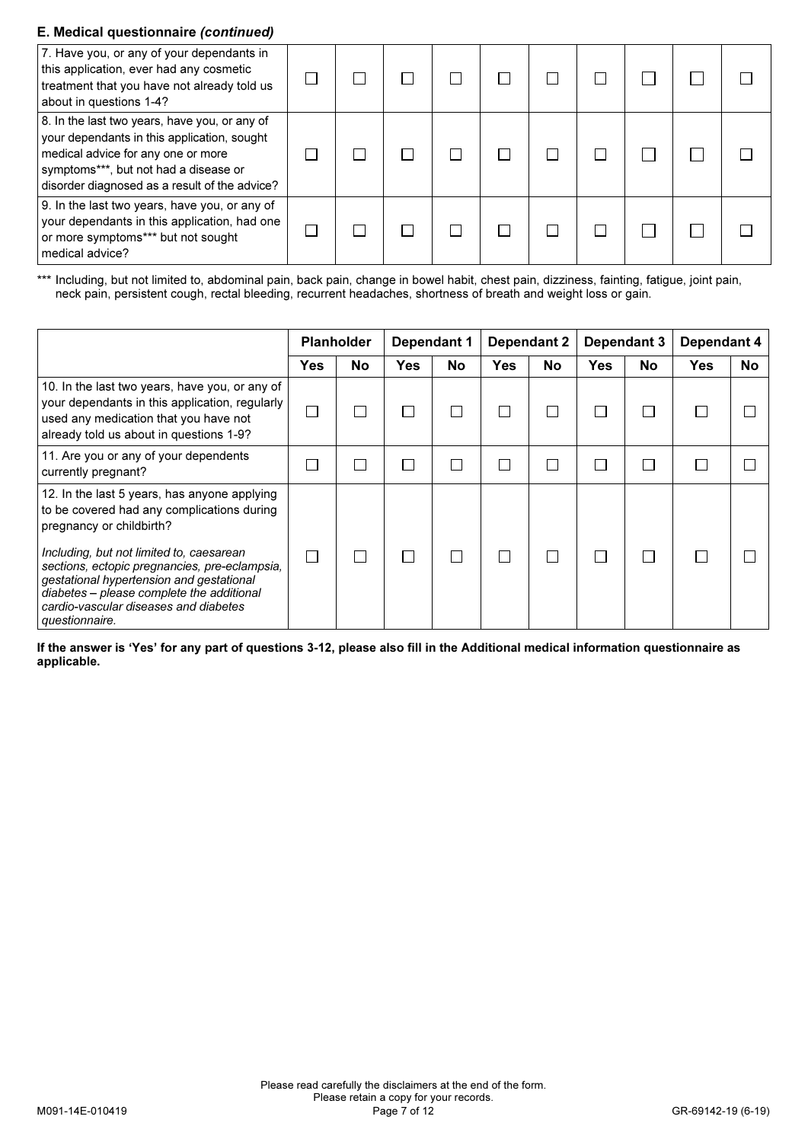## E. Medical questionnaire (continued)

| 7. Have you, or any of your dependants in<br>this application, ever had any cosmetic<br>treatment that you have not already told us<br>about in questions 1-4?                                                               |  |  |  |  |  |
|------------------------------------------------------------------------------------------------------------------------------------------------------------------------------------------------------------------------------|--|--|--|--|--|
| 8. In the last two years, have you, or any of<br>your dependants in this application, sought<br>medical advice for any one or more<br>symptoms***, but not had a disease or<br>disorder diagnosed as a result of the advice? |  |  |  |  |  |
| 9. In the last two years, have you, or any of<br>your dependants in this application, had one<br>or more symptoms*** but not sought<br>medical advice?                                                                       |  |  |  |  |  |

\*\*\* Including, but not limited to, abdominal pain, back pain, change in bowel habit, chest pain, dizziness, fainting, fatigue, joint pain, neck pain, persistent cough, rectal bleeding, recurrent headaches, shortness of breath and weight loss or gain.

|                                                                                                                                                                                                                                               |     | <b>Planholder</b> |            | Dependant 1 | <b>Dependant 2</b> |           | Dependant 3 |           | Dependant 4 |    |
|-----------------------------------------------------------------------------------------------------------------------------------------------------------------------------------------------------------------------------------------------|-----|-------------------|------------|-------------|--------------------|-----------|-------------|-----------|-------------|----|
|                                                                                                                                                                                                                                               | Yes | No                | <b>Yes</b> | <b>No</b>   | Yes                | <b>No</b> | <b>Yes</b>  | <b>No</b> | Yes         | No |
| 10. In the last two years, have you, or any of<br>your dependants in this application, regularly<br>used any medication that you have not<br>already told us about in questions 1-9?                                                          |     |                   |            |             |                    |           |             |           |             |    |
| 11. Are you or any of your dependents<br>currently pregnant?                                                                                                                                                                                  |     |                   |            |             |                    |           |             |           |             |    |
| 12. In the last 5 years, has anyone applying<br>to be covered had any complications during<br>pregnancy or childbirth?                                                                                                                        |     |                   |            |             |                    |           |             |           |             |    |
| Including, but not limited to, caesarean<br>sections, ectopic pregnancies, pre-eclampsia,<br>gestational hypertension and gestational<br>diabetes - please complete the additional<br>cardio-vascular diseases and diabetes<br>questionnaire. |     |                   |            |             |                    |           |             |           |             |    |

If the answer is 'Yes' for any part of questions 3-12, please also fill in the Additional medical information questionnaire as applicable.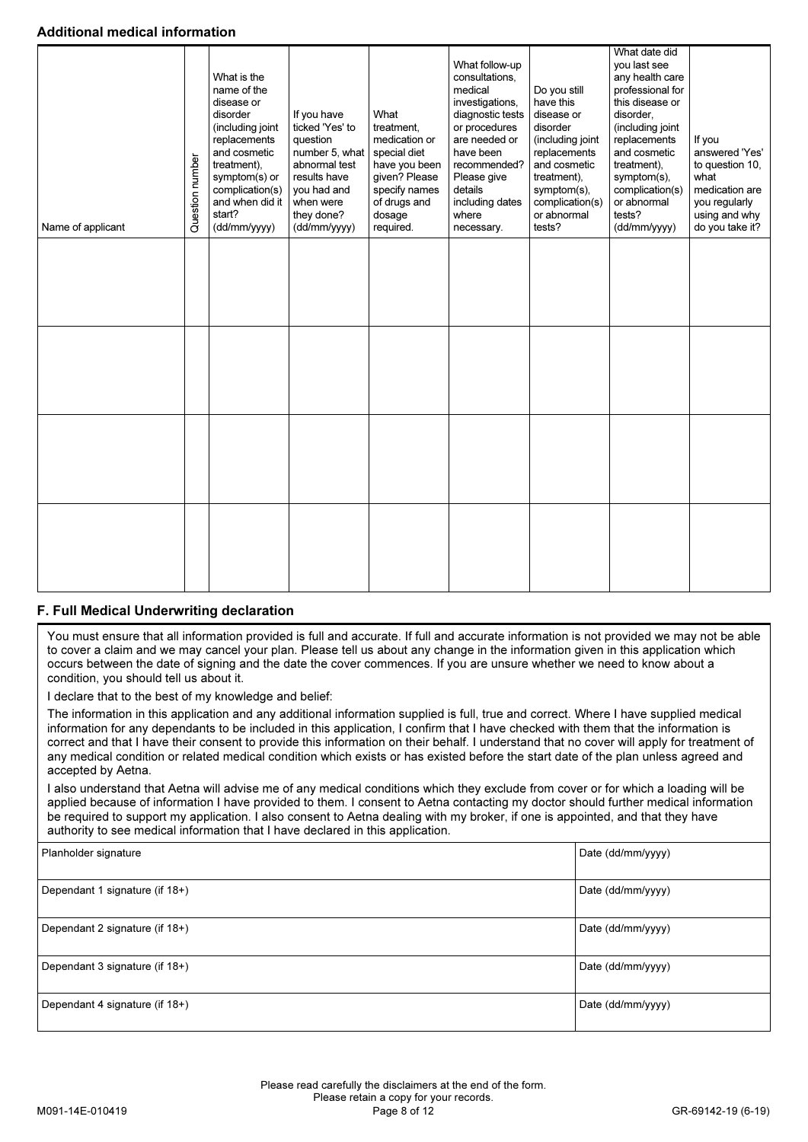## Additional medical information

| Name of applicant | Question number | What is the<br>name of the<br>disease or<br>disorder<br>(including joint<br>replacements<br>and cosmetic<br>treatment).<br>symptom(s) or<br>complication(s)<br>and when did it<br>start?<br>(dd/mm/yyyy) | If you have<br>ticked 'Yes' to<br>question<br>number 5, what<br>abnormal test<br>results have<br>you had and<br>when were<br>they done?<br>(dd/mm/yyyy) | What<br>treatment.<br>medication or<br>special diet<br>have you been<br>given? Please<br>specify names<br>of drugs and<br>dosage<br>required. | What follow-up<br>consultations,<br>medical<br>investigations,<br>diagnostic tests<br>or procedures<br>are needed or<br>have been<br>recommended?<br>Please give<br>details<br>including dates<br>where<br>necessary. | Do you still<br>have this<br>disease or<br>disorder<br>(including joint<br>replacements<br>and cosmetic<br>treatment),<br>symptom(s),<br>complication(s)<br>or abnormal<br>tests? | What date did<br>you last see<br>any health care<br>professional for<br>this disease or<br>disorder.<br>(including joint<br>replacements<br>and cosmetic<br>treatment),<br>symptom(s),<br>complication(s)<br>or abnormal<br>tests?<br>(dd/mm/yyyy) | If you<br>answered 'Yes'<br>to question 10,<br>what<br>medication are<br>you regularly<br>using and why<br>do you take it? |
|-------------------|-----------------|----------------------------------------------------------------------------------------------------------------------------------------------------------------------------------------------------------|---------------------------------------------------------------------------------------------------------------------------------------------------------|-----------------------------------------------------------------------------------------------------------------------------------------------|-----------------------------------------------------------------------------------------------------------------------------------------------------------------------------------------------------------------------|-----------------------------------------------------------------------------------------------------------------------------------------------------------------------------------|----------------------------------------------------------------------------------------------------------------------------------------------------------------------------------------------------------------------------------------------------|----------------------------------------------------------------------------------------------------------------------------|
|                   |                 |                                                                                                                                                                                                          |                                                                                                                                                         |                                                                                                                                               |                                                                                                                                                                                                                       |                                                                                                                                                                                   |                                                                                                                                                                                                                                                    |                                                                                                                            |
|                   |                 |                                                                                                                                                                                                          |                                                                                                                                                         |                                                                                                                                               |                                                                                                                                                                                                                       |                                                                                                                                                                                   |                                                                                                                                                                                                                                                    |                                                                                                                            |
|                   |                 |                                                                                                                                                                                                          |                                                                                                                                                         |                                                                                                                                               |                                                                                                                                                                                                                       |                                                                                                                                                                                   |                                                                                                                                                                                                                                                    |                                                                                                                            |
|                   |                 |                                                                                                                                                                                                          |                                                                                                                                                         |                                                                                                                                               |                                                                                                                                                                                                                       |                                                                                                                                                                                   |                                                                                                                                                                                                                                                    |                                                                                                                            |

## F. Full Medical Underwriting declaration

You must ensure that all information provided is full and accurate. If full and accurate information is not provided we may not be able to cover a claim and we may cancel your plan. Please tell us about any change in the information given in this application which occurs between the date of signing and the date the cover commences. If you are unsure whether we need to know about a condition, you should tell us about it.

I declare that to the best of my knowledge and belief:

The information in this application and any additional information supplied is full, true and correct. Where I have supplied medical information for any dependants to be included in this application, I confirm that I have checked with them that the information is correct and that I have their consent to provide this information on their behalf. I understand that no cover will apply for treatment of any medical condition or related medical condition which exists or has existed before the start date of the plan unless agreed and accepted by Aetna.

I also understand that Aetna will advise me of any medical conditions which they exclude from cover or for which a loading will be applied because of information I have provided to them. I consent to Aetna contacting my doctor should further medical information be required to support my application. I also consent to Aetna dealing with my broker, if one is appointed, and that they have authority to see medical information that I have declared in this application.

| Planholder signature           | Date (dd/mm/yyyy) |
|--------------------------------|-------------------|
| Dependant 1 signature (if 18+) | Date (dd/mm/yyyy) |
| Dependant 2 signature (if 18+) | Date (dd/mm/yyyy) |
| Dependant 3 signature (if 18+) | Date (dd/mm/yyyy) |
| Dependant 4 signature (if 18+) | Date (dd/mm/yyyy) |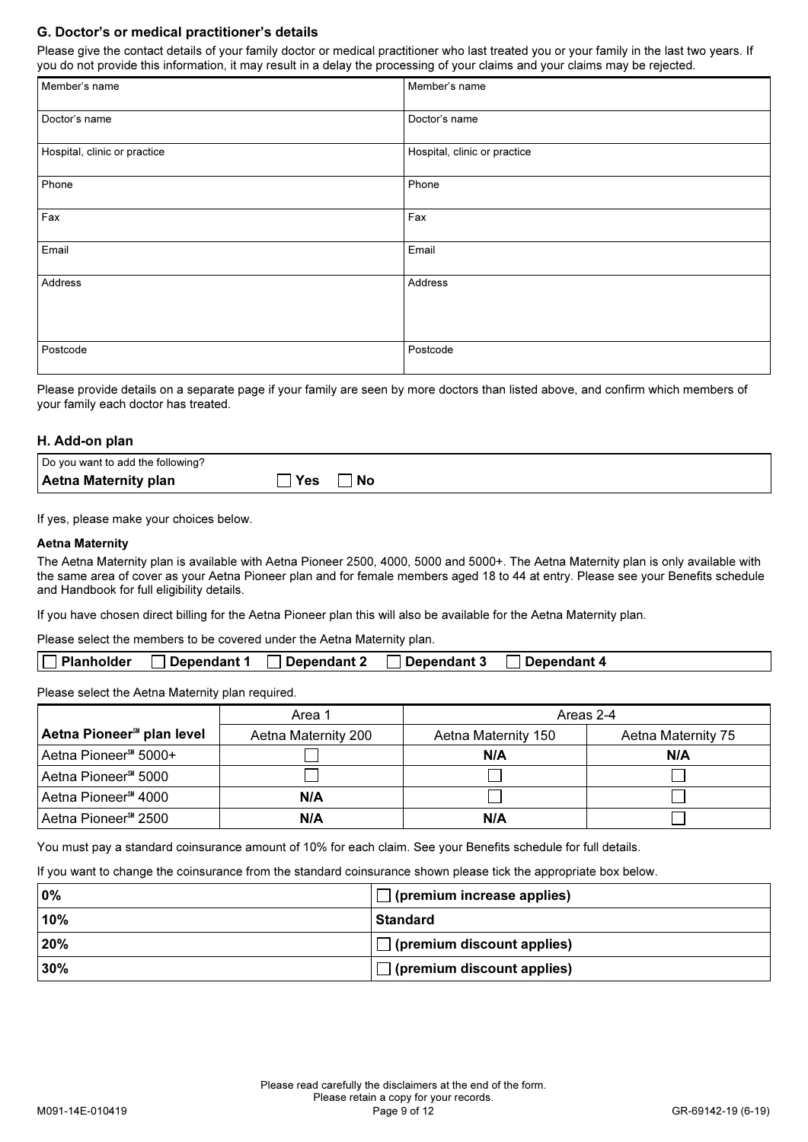## G. Doctor's or medical practitioner's details

Please give the contact details of your family doctor or medical practitioner who last treated you or your family in the last two years. If you do not provide this information, it may result in a delay the processing of your claims and your claims may be rejected.

| Member's name                | Member's name                |
|------------------------------|------------------------------|
| Doctor's name                | Doctor's name                |
| Hospital, clinic or practice | Hospital, clinic or practice |
| Phone                        | Phone                        |
| Fax                          | Fax                          |
| Email                        | Email                        |
| Address                      | Address                      |
| Postcode                     | Postcode                     |

Please provide details on a separate page if your family are seen by more doctors than listed above, and confirm which members of your family each doctor has treated.

## H. Add-on plan

| Do you want to add the following? |           |
|-----------------------------------|-----------|
| Aetna Maternity plan              | Yes<br>No |

If yes, please make your choices below.

#### Aetna Maternity

The Aetna Maternity plan is available with Aetna Pioneer 2500, 4000, 5000 and 5000+. The Aetna Maternity plan is only available with the same area of cover as your Aetna Pioneer plan and for female members aged 18 to 44 at entry. Please see your Benefits schedule and Handbook for full eligibility details.

If you have chosen direct billing for the Aetna Pioneer plan this will also be available for the Aetna Maternity plan.

Please select the members to be covered under the Aetna Maternity plan.

|--|

Please select the Aetna Maternity plan required.

|                                       | Area 1              | Areas 2-4           |                    |
|---------------------------------------|---------------------|---------------------|--------------------|
| Aetna Pioneer <sup>3</sup> plan level | Aetna Maternity 200 | Aetna Maternity 150 | Aetna Maternity 75 |
| Aetna Pioneer <sup>SM</sup> 5000+     |                     | N/A                 | N/A                |
| Aetna Pioneer <sup>s 1</sup> 5000     |                     |                     |                    |
| Aetna Pioneer <sup>s 4000</sup>       | N/A                 |                     |                    |
| Aetna Pioneer <sup>3M</sup> 2500      | N/A                 | N/A                 |                    |

You must pay a standard coinsurance amount of 10% for each claim. See your Benefits schedule for full details.

If you want to change the coinsurance from the standard coinsurance shown please tick the appropriate box below.

| 0%  | $\Box$ (premium increase applies) |
|-----|-----------------------------------|
| 10% | <b>Standard</b>                   |
| 20% | $\Box$ (premium discount applies) |
| 30% | $\Box$ (premium discount applies) |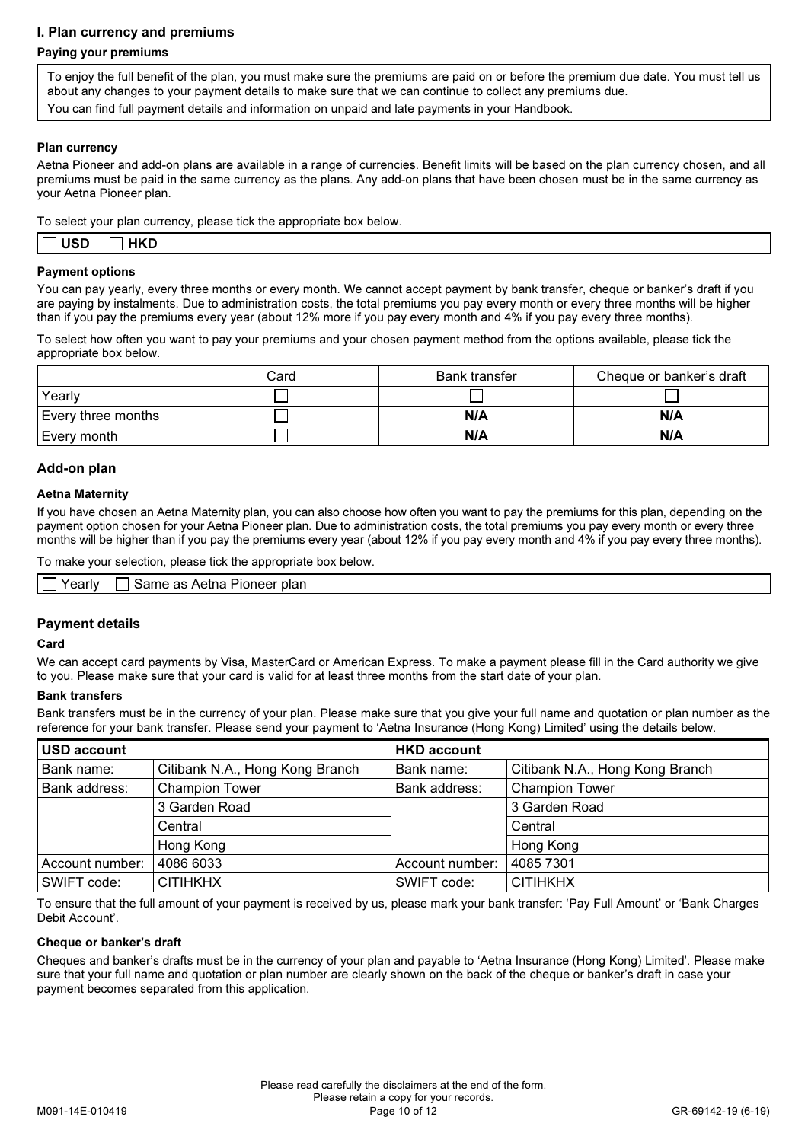## I. Plan currency and premiums

## Paying your premiums

To enjoy the full benefit of the plan, you must make sure the premiums are paid on or before the premium due date. You must tell us about any changes to your payment details to make sure that we can continue to collect any premiums due. You can find full payment details and information on unpaid and late payments in your Handbook.

## Plan currency

Aetna Pioneer and add-on plans are available in a range of currencies. Benefit limits will be based on the plan currency chosen, and all premiums must be paid in the same currency as the plans. Any add-on plans that have been chosen must be in the same currency as your Aetna Pioneer plan.

To select your plan currency, please tick the appropriate box below.

| .          |            |  |  |  |  |
|------------|------------|--|--|--|--|
| <b>USD</b> | <b>HKD</b> |  |  |  |  |

#### Payment options

You can pay yearly, every three months or every month. We cannot accept payment by bank transfer, cheque or banker's draft if you are paying by instalments. Due to administration costs, the total premiums you pay every month or every three months will be higher than if you pay the premiums every year (about 12% more if you pay every month and 4% if you pay every three months).

To select how often you want to pay your premiums and your chosen payment method from the options available, please tick the appropriate box below.

|                    | Card | Bank transfer | Cheque or banker's draft |
|--------------------|------|---------------|--------------------------|
| Yearly             |      |               |                          |
| Every three months |      | N/A           | N/A                      |
| Every month        |      | N/A           | N/A                      |

## Add-on plan

#### Aetna Maternity

If you have chosen an Aetna Maternity plan, you can also choose how often you want to pay the premiums for this plan, depending on the payment option chosen for your Aetna Pioneer plan. Due to administration costs, the total premiums you pay every month or every three months will be higher than if you pay the premiums every year (about 12% if you pay every month and 4% if you pay every three months).

To make your selection, please tick the appropriate box below.

| ′earlv | Pioneer plan<br>same<br>∩tne<br>- വര<br>aз<br>Acuid<br>____<br>______ |
|--------|-----------------------------------------------------------------------|

## Payment details

#### Card

We can accept card payments by Visa, MasterCard or American Express. To make a payment please fill in the Card authority we give to you. Please make sure that your card is valid for at least three months from the start date of your plan.

#### Bank transfers

Bank transfers must be in the currency of your plan. Please make sure that you give your full name and quotation or plan number as the reference for your bank transfer. Please send your payment to 'Aetna Insurance (Hong Kong) Limited' using the details below.

| <b>USD account</b> |                                 | <b>HKD account</b> |                                 |
|--------------------|---------------------------------|--------------------|---------------------------------|
| Bank name:         | Citibank N.A., Hong Kong Branch | Bank name:         | Citibank N.A., Hong Kong Branch |
| Bank address:      | <b>Champion Tower</b>           | Bank address:      | <b>Champion Tower</b>           |
|                    | 3 Garden Road                   |                    | 3 Garden Road                   |
|                    | Central                         |                    | Central                         |
|                    | Hong Kong                       |                    | Hong Kong                       |
| Account number:    | 4086 6033                       | Account number:    | 4085 7301                       |
| SWIFT code:        | <b>CITIHKHX</b>                 | SWIFT code:        | <b>CITIHKHX</b>                 |

To ensure that the full amount of your payment is received by us, please mark your bank transfer: 'Pay Full Amount' or 'Bank Charges Debit Account'.

## Cheque or banker's draft

Cheques and banker's drafts must be in the currency of your plan and payable to 'Aetna Insurance (Hong Kong) Limited'. Please make sure that your full name and quotation or plan number are clearly shown on the back of the cheque or banker's draft in case your payment becomes separated from this application.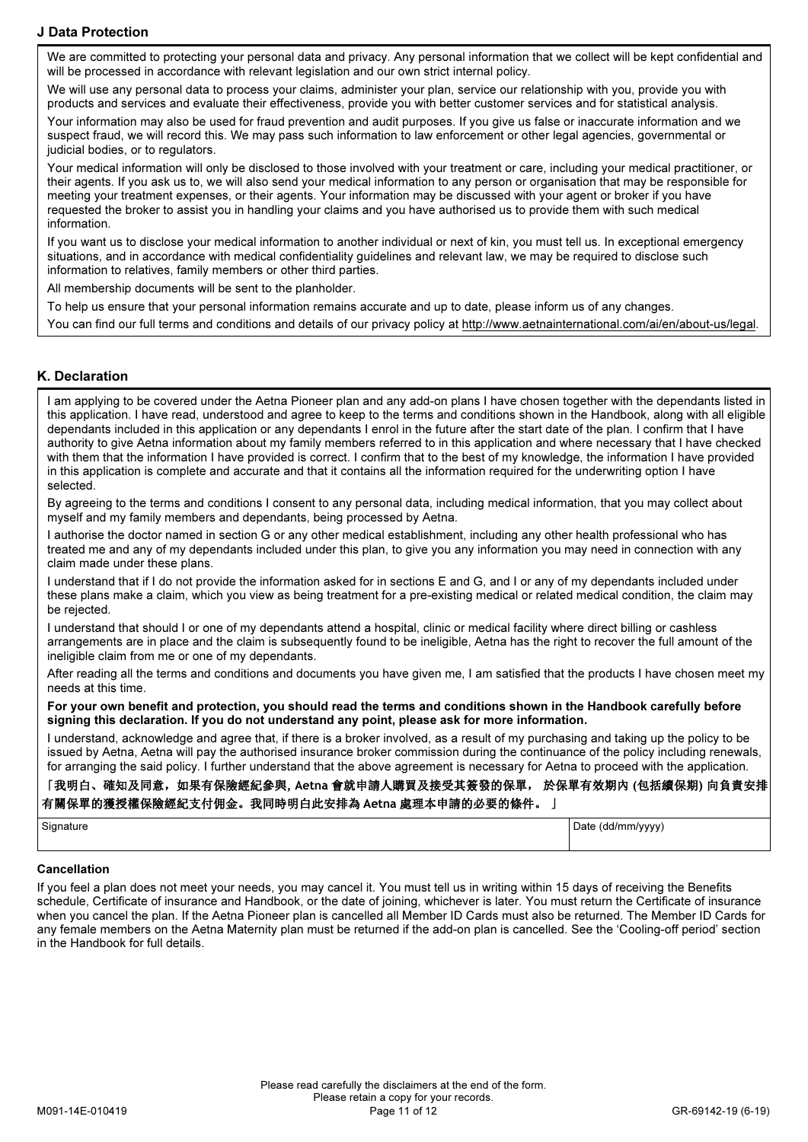## J Data Protection

We are committed to protecting your personal data and privacy. Any personal information that we collect will be kept confidential and will be processed in accordance with relevant legislation and our own strict internal policy.

We will use any personal data to process your claims, administer your plan, service our relationship with you, provide you with products and services and evaluate their effectiveness, provide you with better customer services and for statistical analysis.

Your information may also be used for fraud prevention and audit purposes. If you give us false or inaccurate information and we suspect fraud, we will record this. We may pass such information to law enforcement or other legal agencies, governmental or judicial bodies, or to regulators.

Your medical information will only be disclosed to those involved with your treatment or care, including your medical practitioner, or their agents. If you ask us to, we will also send your medical information to any person or organisation that may be responsible for meeting your treatment expenses, or their agents. Your information may be discussed with your agent or broker if you have requested the broker to assist you in handling your claims and you have authorised us to provide them with such medical information.

If you want us to disclose your medical information to another individual or next of kin, you must tell us. In exceptional emergency situations, and in accordance with medical confidentiality guidelines and relevant law, we may be required to disclose such information to relatives, family members or other third parties.

All membership documents will be sent to the planholder.

To help us ensure that your personal information remains accurate and up to date, please inform us of any changes.

You can find our full terms and conditions and details of our privacy policy at http://www.aetnainternational.com/ai/en/about-us/legal.

## K. Declaration

I am applying to be covered under the Aetna Pioneer plan and any add-on plans I have chosen together with the dependants listed in this application. I have read, understood and agree to keep to the terms and conditions shown in the Handbook, along with all eligible dependants included in this application or any dependants I enrol in the future after the start date of the plan. I confirm that I have authority to give Aetna information about my family members referred to in this application and where necessary that I have checked with them that the information I have provided is correct. I confirm that to the best of my knowledge, the information I have provided in this application is complete and accurate and that it contains all the information required for the underwriting option I have selected.

By agreeing to the terms and conditions I consent to any personal data, including medical information, that you may collect about myself and my family members and dependants, being processed by Aetna.

I authorise the doctor named in section G or any other medical establishment, including any other health professional who has treated me and any of my dependants included under this plan, to give you any information you may need in connection with any claim made under these plans.

I understand that if I do not provide the information asked for in sections E and G, and I or any of my dependants included under these plans make a claim, which you view as being treatment for a pre-existing medical or related medical condition, the claim may be rejected.

I understand that should I or one of my dependants attend a hospital, clinic or medical facility where direct billing or cashless arrangements are in place and the claim is subsequently found to be ineligible, Aetna has the right to recover the full amount of the ineligible claim from me or one of my dependants.

After reading all the terms and conditions and documents you have given me, I am satisfied that the products I have chosen meet my needs at this time.

For your own benefit and protection, you should read the terms and conditions shown in the Handbook carefully before signing this declaration. If you do not understand any point, please ask for more information.

I understand, acknowledge and agree that, if there is a broker involved, as a result of my purchasing and taking up the policy to be issued by Aetna, Aetna will pay the authorised insurance broker commission during the continuance of the policy including renewals, for arranging the said policy. I further understand that the above agreement is necessary for Aetna to proceed with the application.

## 「我明白、確知及同意,如果有保險經紀參與, Aetna 會就申請人購買及接受其簽發的保單, 於保單有效期內 (包括續保期) 向負責安排 有關保單的獲授權保險經紀支付佣金。我同時明白此安排為 Aetna 處理本申請的必要的條件。 」

| Signature<br>$\cdots$ | d/mm/www'<br>Date (<br>01<br>yyy, |
|-----------------------|-----------------------------------|
|                       |                                   |

#### Cancellation

If you feel a plan does not meet your needs, you may cancel it. You must tell us in writing within 15 days of receiving the Benefits schedule, Certificate of insurance and Handbook, or the date of joining, whichever is later. You must return the Certificate of insurance when you cancel the plan. If the Aetna Pioneer plan is cancelled all Member ID Cards must also be returned. The Member ID Cards for any female members on the Aetna Maternity plan must be returned if the add-on plan is cancelled. See the 'Cooling-off period' section in the Handbook for full details.